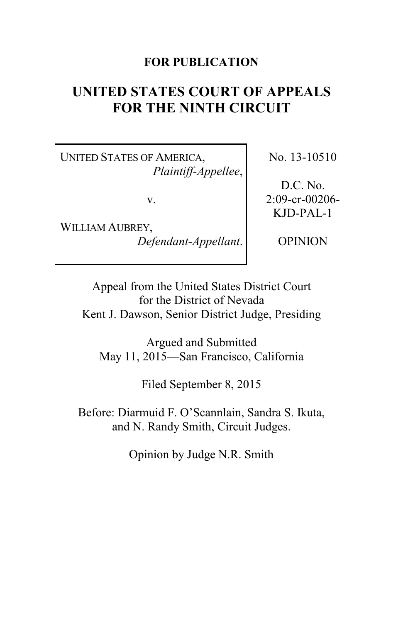### **FOR PUBLICATION**

# **UNITED STATES COURT OF APPEALS FOR THE NINTH CIRCUIT**

UNITED STATES OF AMERICA, *Plaintiff-Appellee*,

v.

WILLIAM AUBREY, *Defendant-Appellant*. No. 13-10510

D.C. No. 2:09-cr-00206- KJD-PAL-1

OPINION

Appeal from the United States District Court for the District of Nevada Kent J. Dawson, Senior District Judge, Presiding

Argued and Submitted May 11, 2015—San Francisco, California

Filed September 8, 2015

Before: Diarmuid F. O'Scannlain, Sandra S. Ikuta, and N. Randy Smith, Circuit Judges.

Opinion by Judge N.R. Smith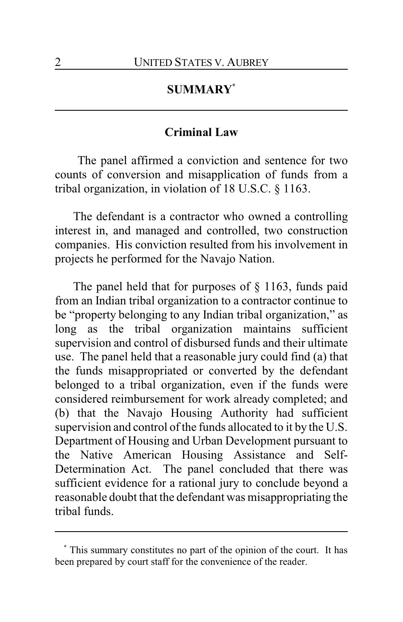## **SUMMARY\***

### **Criminal Law**

The panel affirmed a conviction and sentence for two counts of conversion and misapplication of funds from a tribal organization, in violation of 18 U.S.C. § 1163.

The defendant is a contractor who owned a controlling interest in, and managed and controlled, two construction companies. His conviction resulted from his involvement in projects he performed for the Navajo Nation.

The panel held that for purposes of § 1163, funds paid from an Indian tribal organization to a contractor continue to be "property belonging to any Indian tribal organization," as long as the tribal organization maintains sufficient supervision and control of disbursed funds and their ultimate use. The panel held that a reasonable jury could find (a) that the funds misappropriated or converted by the defendant belonged to a tribal organization, even if the funds were considered reimbursement for work already completed; and (b) that the Navajo Housing Authority had sufficient supervision and control of the funds allocated to it by the U.S. Department of Housing and Urban Development pursuant to the Native American Housing Assistance and Self-Determination Act. The panel concluded that there was sufficient evidence for a rational jury to conclude beyond a reasonable doubt that the defendant was misappropriating the tribal funds.

**<sup>\*</sup>** This summary constitutes no part of the opinion of the court. It has been prepared by court staff for the convenience of the reader.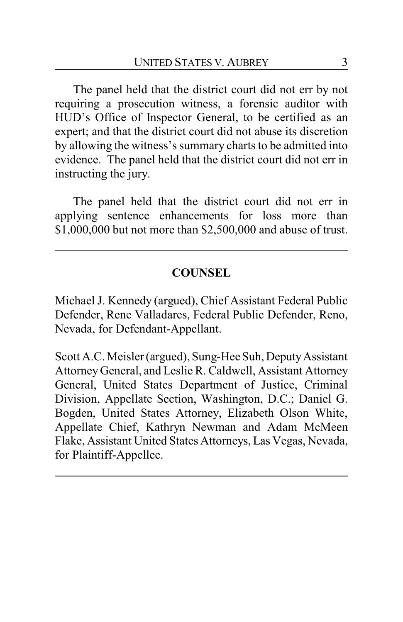The panel held that the district court did not err by not requiring a prosecution witness, a forensic auditor with HUD's Office of Inspector General, to be certified as an expert; and that the district court did not abuse its discretion by allowing the witness's summary charts to be admitted into evidence. The panel held that the district court did not err in instructing the jury.

The panel held that the district court did not err in applying sentence enhancements for loss more than \$1,000,000 but not more than \$2,500,000 and abuse of trust.

## **COUNSEL**

Michael J. Kennedy (argued), Chief Assistant Federal Public Defender, Rene Valladares, Federal Public Defender, Reno, Nevada, for Defendant-Appellant.

Scott A.C. Meisler (argued), Sung-Hee Suh, Deputy Assistant Attorney General, and Leslie R. Caldwell, Assistant Attorney General, United States Department of Justice, Criminal Division, Appellate Section, Washington, D.C.; Daniel G. Bogden, United States Attorney, Elizabeth Olson White, Appellate Chief, Kathryn Newman and Adam McMeen Flake, Assistant United States Attorneys, Las Vegas, Nevada, for Plaintiff-Appellee.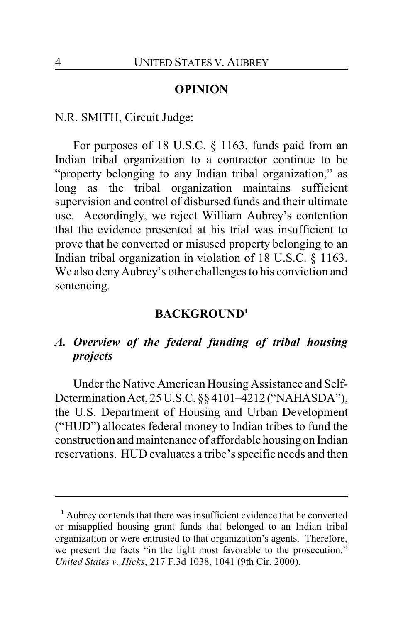#### **OPINION**

N.R. SMITH, Circuit Judge:

For purposes of 18 U.S.C. § 1163, funds paid from an Indian tribal organization to a contractor continue to be "property belonging to any Indian tribal organization," as long as the tribal organization maintains sufficient supervision and control of disbursed funds and their ultimate use. Accordingly, we reject William Aubrey's contention that the evidence presented at his trial was insufficient to prove that he converted or misused property belonging to an Indian tribal organization in violation of 18 U.S.C. § 1163. We also deny Aubrey's other challenges to his conviction and sentencing.

#### **BACKGROUND<sup>1</sup>**

## *A. Overview of the federal funding of tribal housing projects*

Under the Native American Housing Assistance and Self-Determination Act, 25U.S.C. §§ 4101–4212 ("NAHASDA"), the U.S. Department of Housing and Urban Development ("HUD") allocates federal money to Indian tribes to fund the construction andmaintenance of affordable housing on Indian reservations. HUD evaluates a tribe's specific needs and then

**<sup>1</sup>** Aubrey contends that there was insufficient evidence that he converted or misapplied housing grant funds that belonged to an Indian tribal organization or were entrusted to that organization's agents. Therefore, we present the facts "in the light most favorable to the prosecution." *United States v. Hicks*, 217 F.3d 1038, 1041 (9th Cir. 2000).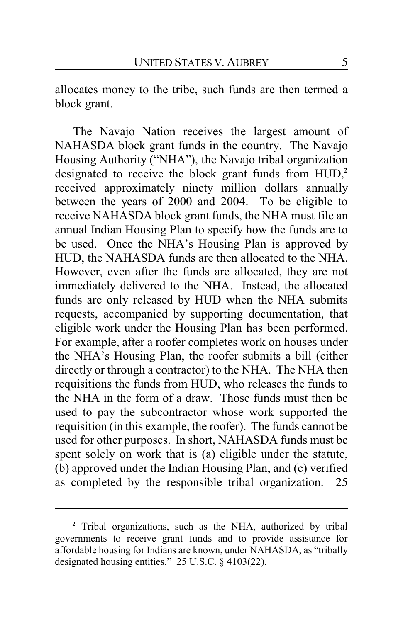allocates money to the tribe, such funds are then termed a block grant.

The Navajo Nation receives the largest amount of NAHASDA block grant funds in the country. The Navajo Housing Authority ("NHA"), the Navajo tribal organization designated to receive the block grant funds from HUD,**<sup>2</sup>** received approximately ninety million dollars annually between the years of 2000 and 2004. To be eligible to receive NAHASDA block grant funds, the NHA must file an annual Indian Housing Plan to specify how the funds are to be used. Once the NHA's Housing Plan is approved by HUD, the NAHASDA funds are then allocated to the NHA. However, even after the funds are allocated, they are not immediately delivered to the NHA. Instead, the allocated funds are only released by HUD when the NHA submits requests, accompanied by supporting documentation, that eligible work under the Housing Plan has been performed. For example, after a roofer completes work on houses under the NHA's Housing Plan, the roofer submits a bill (either directly or through a contractor) to the NHA. The NHA then requisitions the funds from HUD, who releases the funds to the NHA in the form of a draw. Those funds must then be used to pay the subcontractor whose work supported the requisition (in this example, the roofer). The funds cannot be used for other purposes. In short, NAHASDA funds must be spent solely on work that is (a) eligible under the statute, (b) approved under the Indian Housing Plan, and (c) verified as completed by the responsible tribal organization. 25

**<sup>2</sup>** Tribal organizations, such as the NHA, authorized by tribal governments to receive grant funds and to provide assistance for affordable housing for Indians are known, under NAHASDA, as "tribally designated housing entities." 25 U.S.C. § 4103(22).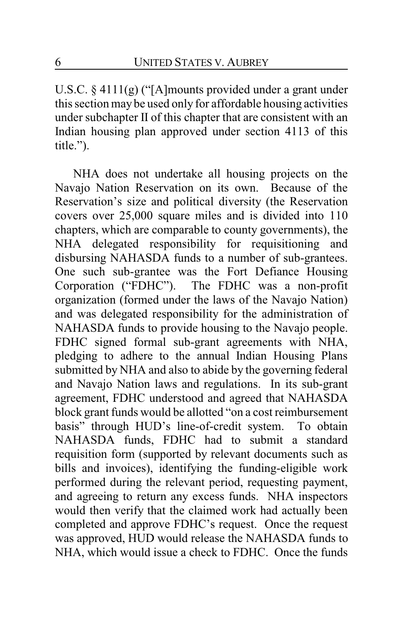U.S.C. § 4111(g) ("[A]mounts provided under a grant under this section may be used only for affordable housing activities under subchapter II of this chapter that are consistent with an Indian housing plan approved under section 4113 of this title.").

NHA does not undertake all housing projects on the Navajo Nation Reservation on its own. Because of the Reservation's size and political diversity (the Reservation covers over 25,000 square miles and is divided into 110 chapters, which are comparable to county governments), the NHA delegated responsibility for requisitioning and disbursing NAHASDA funds to a number of sub-grantees. One such sub-grantee was the Fort Defiance Housing Corporation ("FDHC"). The FDHC was a non-profit organization (formed under the laws of the Navajo Nation) and was delegated responsibility for the administration of NAHASDA funds to provide housing to the Navajo people. FDHC signed formal sub-grant agreements with NHA, pledging to adhere to the annual Indian Housing Plans submitted by NHA and also to abide by the governing federal and Navajo Nation laws and regulations. In its sub-grant agreement, FDHC understood and agreed that NAHASDA block grant funds would be allotted "on a cost reimbursement basis" through HUD's line-of-credit system. To obtain NAHASDA funds, FDHC had to submit a standard requisition form (supported by relevant documents such as bills and invoices), identifying the funding-eligible work performed during the relevant period, requesting payment, and agreeing to return any excess funds. NHA inspectors would then verify that the claimed work had actually been completed and approve FDHC's request. Once the request was approved, HUD would release the NAHASDA funds to NHA, which would issue a check to FDHC. Once the funds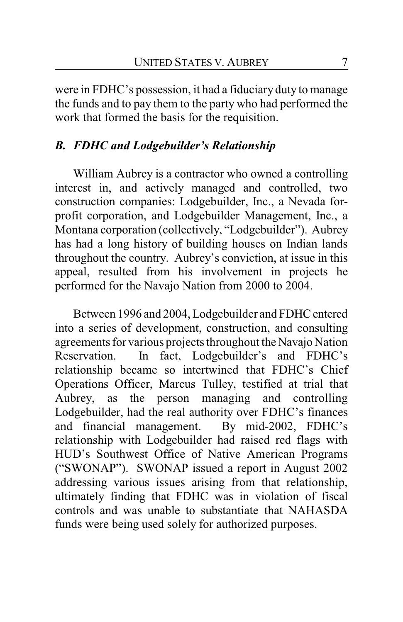were in FDHC's possession, it had a fiduciary duty to manage the funds and to pay them to the party who had performed the work that formed the basis for the requisition.

## *B. FDHC and Lodgebuilder's Relationship*

William Aubrey is a contractor who owned a controlling interest in, and actively managed and controlled, two construction companies: Lodgebuilder, Inc., a Nevada forprofit corporation, and Lodgebuilder Management, Inc., a Montana corporation (collectively, "Lodgebuilder"). Aubrey has had a long history of building houses on Indian lands throughout the country. Aubrey's conviction, at issue in this appeal, resulted from his involvement in projects he performed for the Navajo Nation from 2000 to 2004.

Between 1996 and 2004, Lodgebuilder and FDHC entered into a series of development, construction, and consulting agreements for various projects throughout the Navajo Nation Reservation. In fact, Lodgebuilder's and FDHC's relationship became so intertwined that FDHC's Chief Operations Officer, Marcus Tulley, testified at trial that Aubrey, as the person managing and controlling Lodgebuilder, had the real authority over FDHC's finances and financial management. By mid-2002, FDHC's relationship with Lodgebuilder had raised red flags with HUD's Southwest Office of Native American Programs ("SWONAP"). SWONAP issued a report in August 2002 addressing various issues arising from that relationship, ultimately finding that FDHC was in violation of fiscal controls and was unable to substantiate that NAHASDA funds were being used solely for authorized purposes.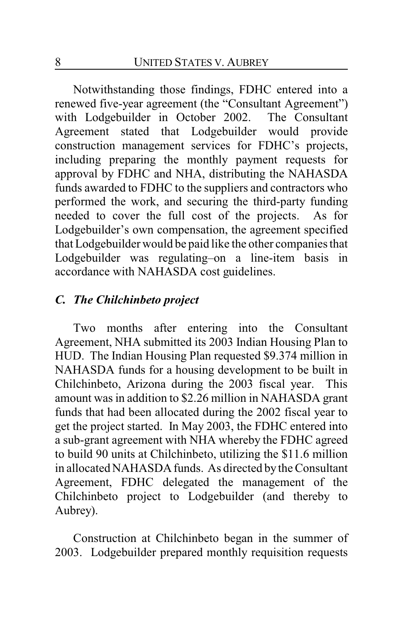Notwithstanding those findings, FDHC entered into a renewed five-year agreement (the "Consultant Agreement") with Lodgebuilder in October 2002. The Consultant Agreement stated that Lodgebuilder would provide construction management services for FDHC's projects, including preparing the monthly payment requests for approval by FDHC and NHA, distributing the NAHASDA funds awarded to FDHC to the suppliers and contractors who performed the work, and securing the third-party funding needed to cover the full cost of the projects. As for Lodgebuilder's own compensation, the agreement specified that Lodgebuilder would be paid like the other companies that Lodgebuilder was regulating–on a line-item basis in accordance with NAHASDA cost guidelines.

### *C. The Chilchinbeto project*

Two months after entering into the Consultant Agreement, NHA submitted its 2003 Indian Housing Plan to HUD. The Indian Housing Plan requested \$9.374 million in NAHASDA funds for a housing development to be built in Chilchinbeto, Arizona during the 2003 fiscal year. This amount was in addition to \$2.26 million in NAHASDA grant funds that had been allocated during the 2002 fiscal year to get the project started. In May 2003, the FDHC entered into a sub-grant agreement with NHA whereby the FDHC agreed to build 90 units at Chilchinbeto, utilizing the \$11.6 million in allocated NAHASDA funds. As directed by the Consultant Agreement, FDHC delegated the management of the Chilchinbeto project to Lodgebuilder (and thereby to Aubrey).

Construction at Chilchinbeto began in the summer of 2003. Lodgebuilder prepared monthly requisition requests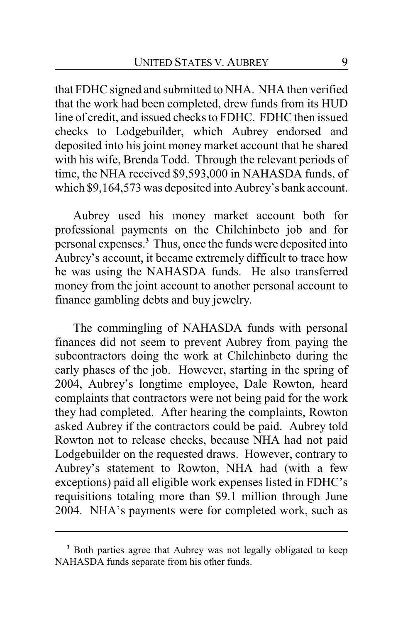that FDHC signed and submitted to NHA. NHA then verified that the work had been completed, drew funds from its HUD line of credit, and issued checks to FDHC. FDHC then issued checks to Lodgebuilder, which Aubrey endorsed and deposited into his joint money market account that he shared with his wife, Brenda Todd. Through the relevant periods of time, the NHA received \$9,593,000 in NAHASDA funds, of which \$9,164,573 was deposited into Aubrey's bank account.

Aubrey used his money market account both for professional payments on the Chilchinbeto job and for personal expenses.**<sup>3</sup>** Thus, once the funds were deposited into Aubrey's account, it became extremely difficult to trace how he was using the NAHASDA funds. He also transferred money from the joint account to another personal account to finance gambling debts and buy jewelry.

The commingling of NAHASDA funds with personal finances did not seem to prevent Aubrey from paying the subcontractors doing the work at Chilchinbeto during the early phases of the job. However, starting in the spring of 2004, Aubrey's longtime employee, Dale Rowton, heard complaints that contractors were not being paid for the work they had completed. After hearing the complaints, Rowton asked Aubrey if the contractors could be paid. Aubrey told Rowton not to release checks, because NHA had not paid Lodgebuilder on the requested draws. However, contrary to Aubrey's statement to Rowton, NHA had (with a few exceptions) paid all eligible work expenses listed in FDHC's requisitions totaling more than \$9.1 million through June 2004. NHA's payments were for completed work, such as

**<sup>3</sup>** Both parties agree that Aubrey was not legally obligated to keep NAHASDA funds separate from his other funds.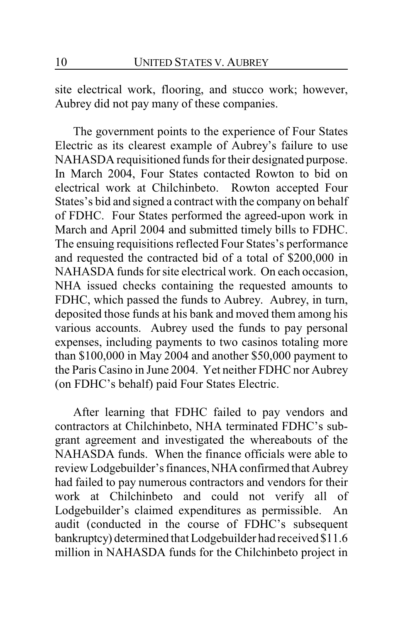site electrical work, flooring, and stucco work; however, Aubrey did not pay many of these companies.

The government points to the experience of Four States Electric as its clearest example of Aubrey's failure to use NAHASDA requisitioned funds for their designated purpose. In March 2004, Four States contacted Rowton to bid on electrical work at Chilchinbeto. Rowton accepted Four States's bid and signed a contract with the company on behalf of FDHC. Four States performed the agreed-upon work in March and April 2004 and submitted timely bills to FDHC. The ensuing requisitions reflected Four States's performance and requested the contracted bid of a total of \$200,000 in NAHASDA funds for site electrical work. On each occasion, NHA issued checks containing the requested amounts to FDHC, which passed the funds to Aubrey. Aubrey, in turn, deposited those funds at his bank and moved them among his various accounts. Aubrey used the funds to pay personal expenses, including payments to two casinos totaling more than \$100,000 in May 2004 and another \$50,000 payment to the Paris Casino in June 2004. Yet neither FDHC nor Aubrey (on FDHC's behalf) paid Four States Electric.

After learning that FDHC failed to pay vendors and contractors at Chilchinbeto, NHA terminated FDHC's subgrant agreement and investigated the whereabouts of the NAHASDA funds. When the finance officials were able to review Lodgebuilder's finances, NHA confirmed that Aubrey had failed to pay numerous contractors and vendors for their work at Chilchinbeto and could not verify all of Lodgebuilder's claimed expenditures as permissible. An audit (conducted in the course of FDHC's subsequent bankruptcy) determined that Lodgebuilder had received \$11.6 million in NAHASDA funds for the Chilchinbeto project in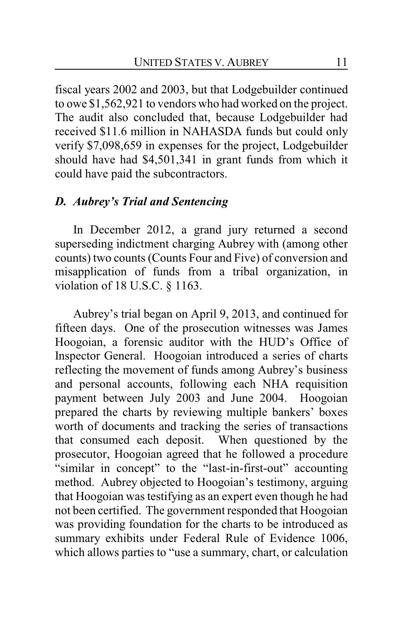fiscal years 2002 and 2003, but that Lodgebuilder continued to owe \$1,562,921 to vendors who had worked on the project. The audit also concluded that, because Lodgebuilder had received \$11.6 million in NAHASDA funds but could only verify \$7,098,659 in expenses for the project, Lodgebuilder should have had \$4,501,341 in grant funds from which it could have paid the subcontractors.

### *D. Aubrey's Trial and Sentencing*

In December 2012, a grand jury returned a second superseding indictment charging Aubrey with (among other counts) two counts (Counts Four and Five) of conversion and misapplication of funds from a tribal organization, in violation of 18 U.S.C. § 1163.

Aubrey's trial began on April 9, 2013, and continued for fifteen days. One of the prosecution witnesses was James Hoogoian, a forensic auditor with the HUD's Office of Inspector General. Hoogoian introduced a series of charts reflecting the movement of funds among Aubrey's business and personal accounts, following each NHA requisition payment between July 2003 and June 2004. Hoogoian prepared the charts by reviewing multiple bankers' boxes worth of documents and tracking the series of transactions that consumed each deposit. When questioned by the prosecutor, Hoogoian agreed that he followed a procedure "similar in concept" to the "last-in-first-out" accounting method. Aubrey objected to Hoogoian's testimony, arguing that Hoogoian was testifying as an expert even though he had not been certified. The government responded that Hoogoian was providing foundation for the charts to be introduced as summary exhibits under Federal Rule of Evidence 1006, which allows parties to "use a summary, chart, or calculation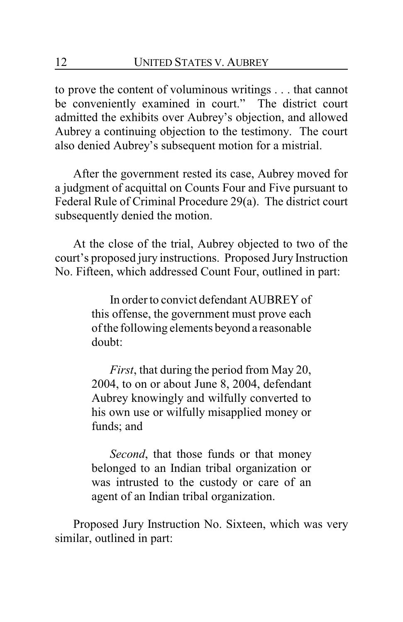to prove the content of voluminous writings . . . that cannot be conveniently examined in court." The district court admitted the exhibits over Aubrey's objection, and allowed Aubrey a continuing objection to the testimony. The court also denied Aubrey's subsequent motion for a mistrial.

After the government rested its case, Aubrey moved for a judgment of acquittal on Counts Four and Five pursuant to Federal Rule of Criminal Procedure 29(a). The district court subsequently denied the motion.

At the close of the trial, Aubrey objected to two of the court's proposed jury instructions. Proposed Jury Instruction No. Fifteen, which addressed Count Four, outlined in part:

> In order to convict defendant AUBREY of this offense, the government must prove each of the following elements beyond a reasonable doubt:

> *First*, that during the period from May 20, 2004, to on or about June 8, 2004, defendant Aubrey knowingly and wilfully converted to his own use or wilfully misapplied money or funds; and

> *Second*, that those funds or that money belonged to an Indian tribal organization or was intrusted to the custody or care of an agent of an Indian tribal organization.

Proposed Jury Instruction No. Sixteen, which was very similar, outlined in part: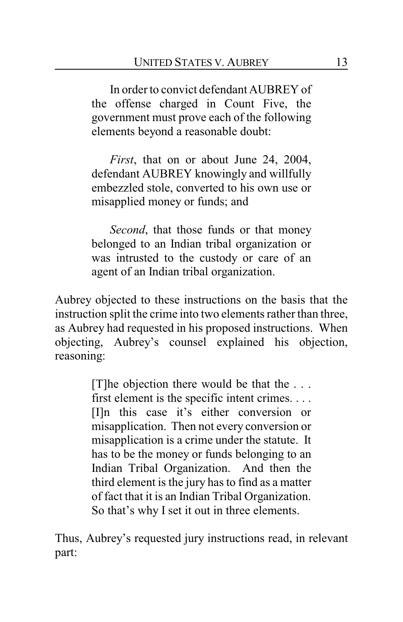In order to convict defendant AUBREY of the offense charged in Count Five, the government must prove each of the following elements beyond a reasonable doubt:

*First*, that on or about June 24, 2004, defendant AUBREY knowingly and willfully embezzled stole, converted to his own use or misapplied money or funds; and

*Second*, that those funds or that money belonged to an Indian tribal organization or was intrusted to the custody or care of an agent of an Indian tribal organization.

Aubrey objected to these instructions on the basis that the instruction split the crime into two elements rather than three, as Aubrey had requested in his proposed instructions. When objecting, Aubrey's counsel explained his objection, reasoning:

> [T]he objection there would be that the . . . first element is the specific intent crimes. . . . [I]n this case it's either conversion or misapplication. Then not every conversion or misapplication is a crime under the statute. It has to be the money or funds belonging to an Indian Tribal Organization. And then the third element is the jury has to find as a matter of fact that it is an Indian Tribal Organization. So that's why I set it out in three elements.

Thus, Aubrey's requested jury instructions read, in relevant part: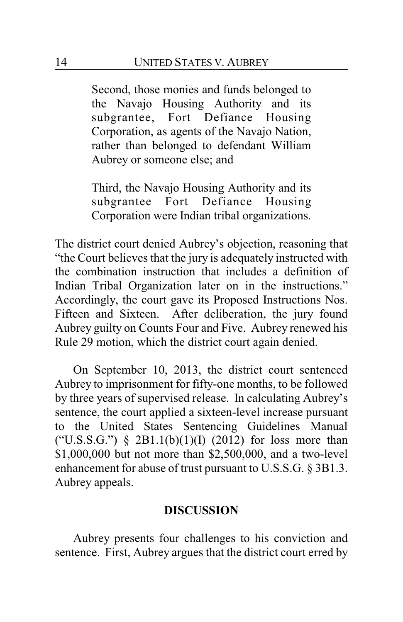Second, those monies and funds belonged to the Navajo Housing Authority and its subgrantee, Fort Defiance Housing Corporation, as agents of the Navajo Nation, rather than belonged to defendant William Aubrey or someone else; and

Third, the Navajo Housing Authority and its subgrantee Fort Defiance Housing Corporation were Indian tribal organizations.

The district court denied Aubrey's objection, reasoning that "the Court believes that the jury is adequately instructed with the combination instruction that includes a definition of Indian Tribal Organization later on in the instructions." Accordingly, the court gave its Proposed Instructions Nos. Fifteen and Sixteen. After deliberation, the jury found Aubrey guilty on Counts Four and Five. Aubrey renewed his Rule 29 motion, which the district court again denied.

On September 10, 2013, the district court sentenced Aubrey to imprisonment for fifty-one months, to be followed by three years of supervised release. In calculating Aubrey's sentence, the court applied a sixteen-level increase pursuant to the United States Sentencing Guidelines Manual ("U.S.S.G.")  $\S$  2B1.1(b)(1)(I) (2012) for loss more than \$1,000,000 but not more than \$2,500,000, and a two-level enhancement for abuse of trust pursuant to U.S.S.G. § 3B1.3. Aubrey appeals.

#### **DISCUSSION**

Aubrey presents four challenges to his conviction and sentence. First, Aubrey argues that the district court erred by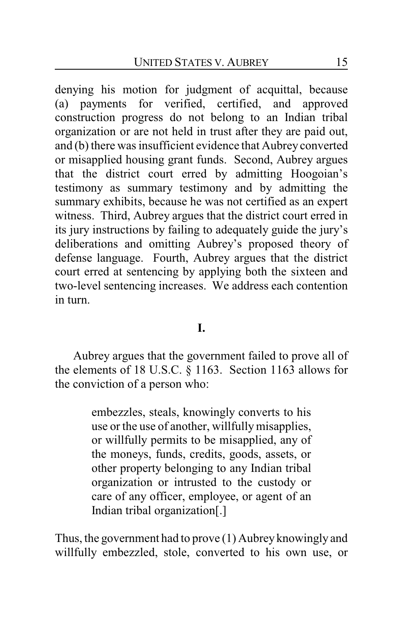denying his motion for judgment of acquittal, because (a) payments for verified, certified, and approved construction progress do not belong to an Indian tribal organization or are not held in trust after they are paid out, and (b) there was insufficient evidence that Aubrey converted or misapplied housing grant funds. Second, Aubrey argues that the district court erred by admitting Hoogoian's testimony as summary testimony and by admitting the summary exhibits, because he was not certified as an expert witness. Third, Aubrey argues that the district court erred in its jury instructions by failing to adequately guide the jury's deliberations and omitting Aubrey's proposed theory of defense language. Fourth, Aubrey argues that the district court erred at sentencing by applying both the sixteen and two-level sentencing increases. We address each contention in turn.

**I.**

Aubrey argues that the government failed to prove all of the elements of 18 U.S.C. § 1163. Section 1163 allows for the conviction of a person who:

> embezzles, steals, knowingly converts to his use or the use of another, willfullymisapplies, or willfully permits to be misapplied, any of the moneys, funds, credits, goods, assets, or other property belonging to any Indian tribal organization or intrusted to the custody or care of any officer, employee, or agent of an Indian tribal organization[.]

Thus, the government had to prove (1) Aubrey knowingly and willfully embezzled, stole, converted to his own use, or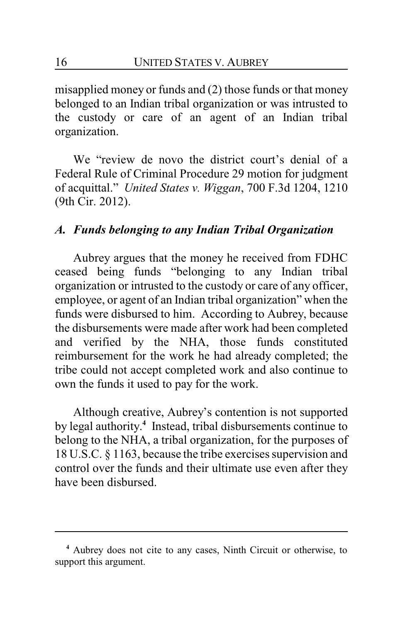misapplied money or funds and (2) those funds or that money belonged to an Indian tribal organization or was intrusted to the custody or care of an agent of an Indian tribal organization.

We "review de novo the district court's denial of a Federal Rule of Criminal Procedure 29 motion for judgment of acquittal." *United States v. Wiggan*, 700 F.3d 1204, 1210 (9th Cir. 2012).

### *A. Funds belonging to any Indian Tribal Organization*

Aubrey argues that the money he received from FDHC ceased being funds "belonging to any Indian tribal organization or intrusted to the custody or care of any officer, employee, or agent of an Indian tribal organization" when the funds were disbursed to him. According to Aubrey, because the disbursements were made after work had been completed and verified by the NHA, those funds constituted reimbursement for the work he had already completed; the tribe could not accept completed work and also continue to own the funds it used to pay for the work.

Although creative, Aubrey's contention is not supported by legal authority. **4** Instead, tribal disbursements continue to belong to the NHA, a tribal organization, for the purposes of 18 U.S.C. § 1163, because the tribe exercises supervision and control over the funds and their ultimate use even after they have been disbursed.

**<sup>4</sup>** Aubrey does not cite to any cases, Ninth Circuit or otherwise, to support this argument.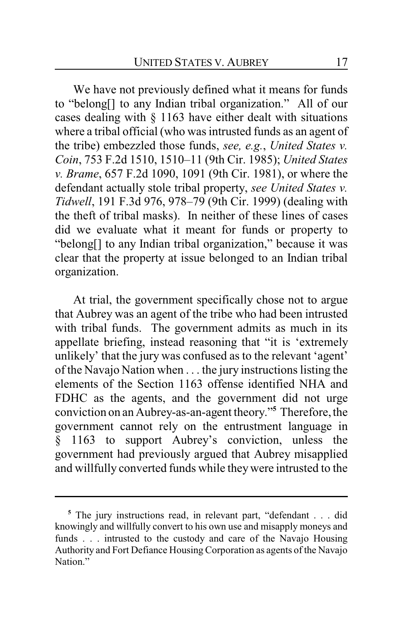We have not previously defined what it means for funds to "belong[] to any Indian tribal organization." All of our cases dealing with § 1163 have either dealt with situations where a tribal official (who was intrusted funds as an agent of the tribe) embezzled those funds, *see, e.g.*, *United States v. Coin*, 753 F.2d 1510, 1510–11 (9th Cir. 1985); *United States v. Brame*, 657 F.2d 1090, 1091 (9th Cir. 1981), or where the defendant actually stole tribal property, *see United States v. Tidwell*, 191 F.3d 976, 978–79 (9th Cir. 1999) (dealing with the theft of tribal masks). In neither of these lines of cases did we evaluate what it meant for funds or property to "belong[] to any Indian tribal organization," because it was clear that the property at issue belonged to an Indian tribal organization.

At trial, the government specifically chose not to argue that Aubrey was an agent of the tribe who had been intrusted with tribal funds. The government admits as much in its appellate briefing, instead reasoning that "it is 'extremely unlikely' that the jury was confused as to the relevant 'agent' of the Navajo Nation when . . . the jury instructions listing the elements of the Section 1163 offense identified NHA and FDHC as the agents, and the government did not urge conviction on an Aubrey-as-an-agent theory."**<sup>5</sup>** Therefore, the government cannot rely on the entrustment language in § 1163 to support Aubrey's conviction, unless the government had previously argued that Aubrey misapplied and willfully converted funds while theywere intrusted to the

**<sup>5</sup>** The jury instructions read, in relevant part, "defendant . . . did knowingly and willfully convert to his own use and misapply moneys and funds . . . intrusted to the custody and care of the Navajo Housing Authority and Fort Defiance Housing Corporation as agents of the Navajo Nation."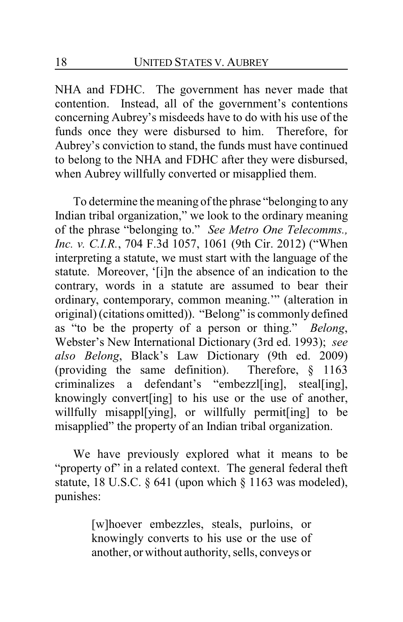NHA and FDHC. The government has never made that contention. Instead, all of the government's contentions concerning Aubrey's misdeeds have to do with his use of the funds once they were disbursed to him. Therefore, for Aubrey's conviction to stand, the funds must have continued to belong to the NHA and FDHC after they were disbursed, when Aubrey willfully converted or misapplied them.

To determine the meaning of the phrase "belonging to any Indian tribal organization," we look to the ordinary meaning of the phrase "belonging to." *See Metro One Telecomms., Inc. v. C.I.R.*, 704 F.3d 1057, 1061 (9th Cir. 2012) ("When interpreting a statute, we must start with the language of the statute. Moreover, '[i]n the absence of an indication to the contrary, words in a statute are assumed to bear their ordinary, contemporary, common meaning.'" (alteration in original) (citations omitted)). "Belong" is commonly defined as "to be the property of a person or thing." *Belong*, Webster's New International Dictionary (3rd ed. 1993); *see also Belong*, Black's Law Dictionary (9th ed. 2009) (providing the same definition). Therefore, § 1163 criminalizes a defendant's "embezzl[ing], steal[ing], knowingly convert[ing] to his use or the use of another, willfully misappl[ying], or willfully permit[ing] to be misapplied" the property of an Indian tribal organization.

We have previously explored what it means to be "property of" in a related context. The general federal theft statute, 18 U.S.C.  $\S$  641 (upon which  $\S$  1163 was modeled), punishes:

> [w]hoever embezzles, steals, purloins, or knowingly converts to his use or the use of another, or without authority, sells, conveys or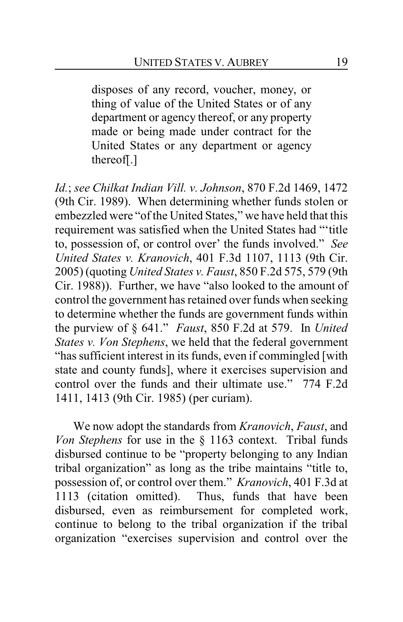disposes of any record, voucher, money, or thing of value of the United States or of any department or agency thereof, or any property made or being made under contract for the United States or any department or agency thereof[.]

*Id.*; *see Chilkat Indian Vill. v. Johnson*, 870 F.2d 1469, 1472 (9th Cir. 1989). When determining whether funds stolen or embezzled were "of the United States," we have held that this requirement was satisfied when the United States had "'title to, possession of, or control over' the funds involved." *See United States v. Kranovich*, 401 F.3d 1107, 1113 (9th Cir. 2005) (quoting *United States v. Faust*, 850 F.2d 575, 579 (9th Cir. 1988)). Further, we have "also looked to the amount of control the government has retained over funds when seeking to determine whether the funds are government funds within the purview of § 641." *Faust*, 850 F.2d at 579. In *United States v. Von Stephens*, we held that the federal government "has sufficient interest in its funds, even if commingled [with state and county funds], where it exercises supervision and control over the funds and their ultimate use." 774 F.2d 1411, 1413 (9th Cir. 1985) (per curiam).

We now adopt the standards from *Kranovich*, *Faust*, and *Von Stephens* for use in the § 1163 context. Tribal funds disbursed continue to be "property belonging to any Indian tribal organization" as long as the tribe maintains "title to, possession of, or control over them." *Kranovich*, 401 F.3d at 1113 (citation omitted). Thus, funds that have been disbursed, even as reimbursement for completed work, continue to belong to the tribal organization if the tribal organization "exercises supervision and control over the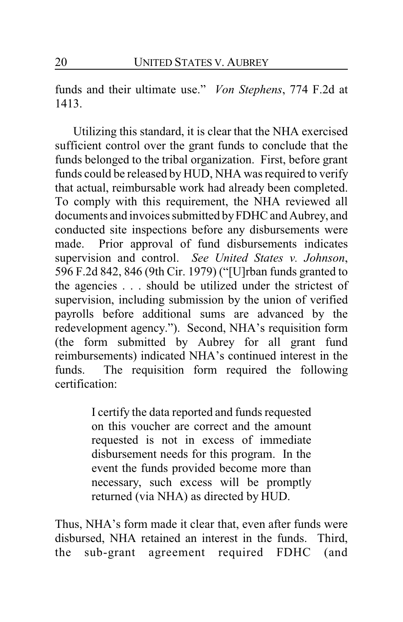funds and their ultimate use." *Von Stephens*, 774 F.2d at 1413.

Utilizing this standard, it is clear that the NHA exercised sufficient control over the grant funds to conclude that the funds belonged to the tribal organization. First, before grant funds could be released by HUD, NHA was required to verify that actual, reimbursable work had already been completed. To comply with this requirement, the NHA reviewed all documents and invoices submitted byFDHC and Aubrey, and conducted site inspections before any disbursements were made. Prior approval of fund disbursements indicates supervision and control. *See United States v. Johnson*, 596 F.2d 842, 846 (9th Cir. 1979) ("[U]rban funds granted to the agencies . . . should be utilized under the strictest of supervision, including submission by the union of verified payrolls before additional sums are advanced by the redevelopment agency."). Second, NHA's requisition form (the form submitted by Aubrey for all grant fund reimbursements) indicated NHA's continued interest in the funds. The requisition form required the following certification:

> I certify the data reported and funds requested on this voucher are correct and the amount requested is not in excess of immediate disbursement needs for this program. In the event the funds provided become more than necessary, such excess will be promptly returned (via NHA) as directed by HUD.

Thus, NHA's form made it clear that, even after funds were disbursed, NHA retained an interest in the funds. Third, the sub-grant agreement required FDHC (and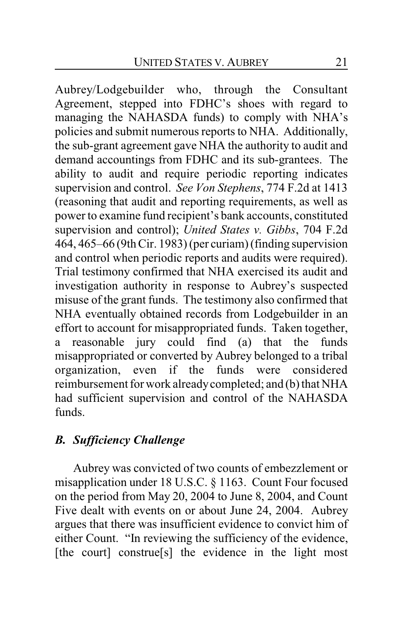Aubrey/Lodgebuilder who, through the Consultant Agreement, stepped into FDHC's shoes with regard to managing the NAHASDA funds) to comply with NHA's policies and submit numerous reports to NHA. Additionally, the sub-grant agreement gave NHA the authority to audit and demand accountings from FDHC and its sub-grantees. The ability to audit and require periodic reporting indicates supervision and control. *See Von Stephens*, 774 F.2d at 1413 (reasoning that audit and reporting requirements, as well as power to examine fund recipient's bank accounts, constituted supervision and control); *United States v. Gibbs*, 704 F.2d 464, 465–66 (9th Cir. 1983) (per curiam) (finding supervision and control when periodic reports and audits were required). Trial testimony confirmed that NHA exercised its audit and investigation authority in response to Aubrey's suspected misuse of the grant funds. The testimony also confirmed that NHA eventually obtained records from Lodgebuilder in an effort to account for misappropriated funds. Taken together, a reasonable jury could find (a) that the funds misappropriated or converted by Aubrey belonged to a tribal organization, even if the funds were considered reimbursement for work alreadycompleted; and (b) that NHA had sufficient supervision and control of the NAHASDA funds.

### *B. Sufficiency Challenge*

Aubrey was convicted of two counts of embezzlement or misapplication under 18 U.S.C. § 1163. Count Four focused on the period from May 20, 2004 to June 8, 2004, and Count Five dealt with events on or about June 24, 2004. Aubrey argues that there was insufficient evidence to convict him of either Count. "In reviewing the sufficiency of the evidence, [the court] construe<sup>[s]</sup> the evidence in the light most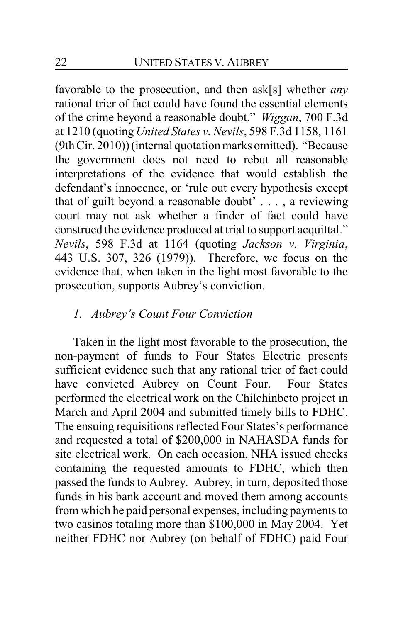favorable to the prosecution, and then ask[s] whether *any* rational trier of fact could have found the essential elements of the crime beyond a reasonable doubt." *Wiggan*, 700 F.3d at 1210 (quoting *United States v. Nevils*, 598 F.3d 1158, 1161 (9th Cir. 2010)) (internal quotation marks omitted). "Because the government does not need to rebut all reasonable interpretations of the evidence that would establish the defendant's innocence, or 'rule out every hypothesis except that of guilt beyond a reasonable doubt' . . . , a reviewing court may not ask whether a finder of fact could have construed the evidence produced at trial to support acquittal." *Nevils*, 598 F.3d at 1164 (quoting *Jackson v. Virginia*, 443 U.S. 307, 326 (1979)). Therefore, we focus on the evidence that, when taken in the light most favorable to the prosecution, supports Aubrey's conviction.

### *1. Aubrey's Count Four Conviction*

Taken in the light most favorable to the prosecution, the non-payment of funds to Four States Electric presents sufficient evidence such that any rational trier of fact could have convicted Aubrey on Count Four. Four States performed the electrical work on the Chilchinbeto project in March and April 2004 and submitted timely bills to FDHC. The ensuing requisitions reflected Four States's performance and requested a total of \$200,000 in NAHASDA funds for site electrical work. On each occasion, NHA issued checks containing the requested amounts to FDHC, which then passed the funds to Aubrey. Aubrey, in turn, deposited those funds in his bank account and moved them among accounts from which he paid personal expenses, including payments to two casinos totaling more than \$100,000 in May 2004. Yet neither FDHC nor Aubrey (on behalf of FDHC) paid Four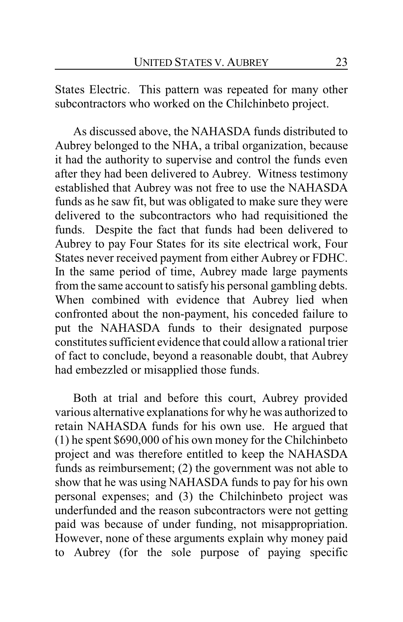States Electric. This pattern was repeated for many other subcontractors who worked on the Chilchinbeto project.

As discussed above, the NAHASDA funds distributed to Aubrey belonged to the NHA, a tribal organization, because it had the authority to supervise and control the funds even after they had been delivered to Aubrey. Witness testimony established that Aubrey was not free to use the NAHASDA funds as he saw fit, but was obligated to make sure they were delivered to the subcontractors who had requisitioned the funds. Despite the fact that funds had been delivered to Aubrey to pay Four States for its site electrical work, Four States never received payment from either Aubrey or FDHC. In the same period of time, Aubrey made large payments from the same account to satisfy his personal gambling debts. When combined with evidence that Aubrey lied when confronted about the non-payment, his conceded failure to put the NAHASDA funds to their designated purpose constitutes sufficient evidence that could allow a rational trier of fact to conclude, beyond a reasonable doubt, that Aubrey had embezzled or misapplied those funds.

Both at trial and before this court, Aubrey provided various alternative explanations for why he was authorized to retain NAHASDA funds for his own use. He argued that (1) he spent \$690,000 of his own money for the Chilchinbeto project and was therefore entitled to keep the NAHASDA funds as reimbursement; (2) the government was not able to show that he was using NAHASDA funds to pay for his own personal expenses; and (3) the Chilchinbeto project was underfunded and the reason subcontractors were not getting paid was because of under funding, not misappropriation. However, none of these arguments explain why money paid to Aubrey (for the sole purpose of paying specific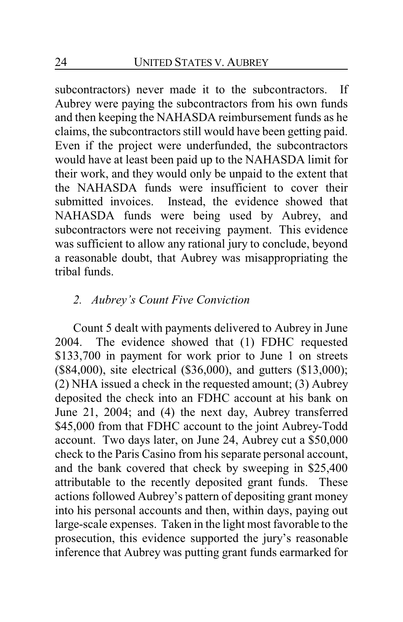subcontractors) never made it to the subcontractors. If Aubrey were paying the subcontractors from his own funds and then keeping the NAHASDA reimbursement funds as he claims, the subcontractors still would have been getting paid. Even if the project were underfunded, the subcontractors would have at least been paid up to the NAHASDA limit for their work, and they would only be unpaid to the extent that the NAHASDA funds were insufficient to cover their submitted invoices. Instead, the evidence showed that NAHASDA funds were being used by Aubrey, and subcontractors were not receiving payment. This evidence was sufficient to allow any rational jury to conclude, beyond a reasonable doubt, that Aubrey was misappropriating the tribal funds.

## *2. Aubrey's Count Five Conviction*

Count 5 dealt with payments delivered to Aubrey in June 2004. The evidence showed that (1) FDHC requested \$133,700 in payment for work prior to June 1 on streets (\$84,000), site electrical (\$36,000), and gutters (\$13,000); (2) NHA issued a check in the requested amount; (3) Aubrey deposited the check into an FDHC account at his bank on June 21, 2004; and (4) the next day, Aubrey transferred \$45,000 from that FDHC account to the joint Aubrey-Todd account. Two days later, on June 24, Aubrey cut a \$50,000 check to the Paris Casino from his separate personal account, and the bank covered that check by sweeping in \$25,400 attributable to the recently deposited grant funds. These actions followed Aubrey's pattern of depositing grant money into his personal accounts and then, within days, paying out large-scale expenses. Taken in the light most favorable to the prosecution, this evidence supported the jury's reasonable inference that Aubrey was putting grant funds earmarked for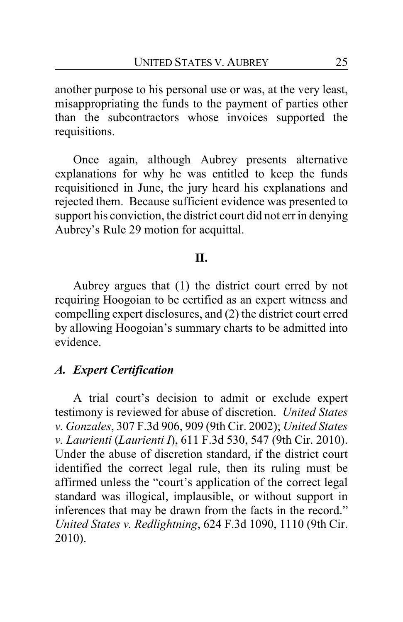another purpose to his personal use or was, at the very least, misappropriating the funds to the payment of parties other than the subcontractors whose invoices supported the requisitions.

Once again, although Aubrey presents alternative explanations for why he was entitled to keep the funds requisitioned in June, the jury heard his explanations and rejected them. Because sufficient evidence was presented to support his conviction, the district court did not err in denying Aubrey's Rule 29 motion for acquittal.

### **II.**

Aubrey argues that (1) the district court erred by not requiring Hoogoian to be certified as an expert witness and compelling expert disclosures, and (2) the district court erred by allowing Hoogoian's summary charts to be admitted into evidence.

#### *A. Expert Certification*

A trial court's decision to admit or exclude expert testimony is reviewed for abuse of discretion. *United States v. Gonzales*, 307 F.3d 906, 909 (9th Cir. 2002); *United States v. Laurienti* (*Laurienti I*), 611 F.3d 530, 547 (9th Cir. 2010). Under the abuse of discretion standard, if the district court identified the correct legal rule, then its ruling must be affirmed unless the "court's application of the correct legal standard was illogical, implausible, or without support in inferences that may be drawn from the facts in the record." *United States v. Redlightning*, 624 F.3d 1090, 1110 (9th Cir. 2010).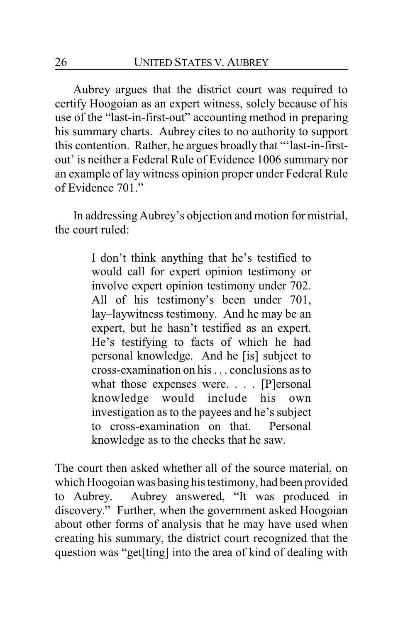Aubrey argues that the district court was required to certify Hoogoian as an expert witness, solely because of his use of the "last-in-first-out" accounting method in preparing his summary charts. Aubrey cites to no authority to support this contention. Rather, he argues broadly that "'last-in-firstout' is neither a Federal Rule of Evidence 1006 summary nor an example of lay witness opinion proper under Federal Rule of Evidence 701."

In addressing Aubrey's objection and motion for mistrial, the court ruled:

> I don't think anything that he's testified to would call for expert opinion testimony or involve expert opinion testimony under 702. All of his testimony's been under 701, lay–laywitness testimony. And he may be an expert, but he hasn't testified as an expert. He's testifying to facts of which he had personal knowledge. And he [is] subject to cross-examination on his . . . conclusions as to what those expenses were. . . . [P]ersonal knowledge would include his own investigation as to the payees and he's subject to cross-examination on that. Personal knowledge as to the checks that he saw.

The court then asked whether all of the source material, on which Hoogoian was basing his testimony, had been provided to Aubrey. Aubrey answered, "It was produced in discovery." Further, when the government asked Hoogoian about other forms of analysis that he may have used when creating his summary, the district court recognized that the question was "get[ting] into the area of kind of dealing with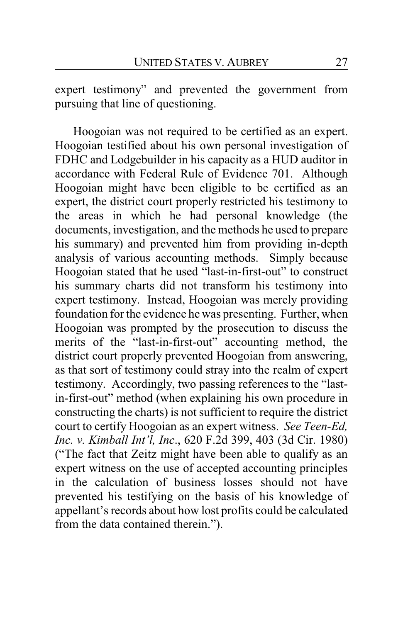expert testimony" and prevented the government from pursuing that line of questioning.

Hoogoian was not required to be certified as an expert. Hoogoian testified about his own personal investigation of FDHC and Lodgebuilder in his capacity as a HUD auditor in accordance with Federal Rule of Evidence 701. Although Hoogoian might have been eligible to be certified as an expert, the district court properly restricted his testimony to the areas in which he had personal knowledge (the documents, investigation, and the methods he used to prepare his summary) and prevented him from providing in-depth analysis of various accounting methods. Simply because Hoogoian stated that he used "last-in-first-out" to construct his summary charts did not transform his testimony into expert testimony. Instead, Hoogoian was merely providing foundation for the evidence he was presenting. Further, when Hoogoian was prompted by the prosecution to discuss the merits of the "last-in-first-out" accounting method, the district court properly prevented Hoogoian from answering, as that sort of testimony could stray into the realm of expert testimony. Accordingly, two passing references to the "lastin-first-out" method (when explaining his own procedure in constructing the charts) is not sufficient to require the district court to certify Hoogoian as an expert witness. *See Teen-Ed, Inc. v. Kimball Int'l, Inc*., 620 F.2d 399, 403 (3d Cir. 1980) ("The fact that Zeitz might have been able to qualify as an expert witness on the use of accepted accounting principles in the calculation of business losses should not have prevented his testifying on the basis of his knowledge of appellant's records about how lost profits could be calculated from the data contained therein.").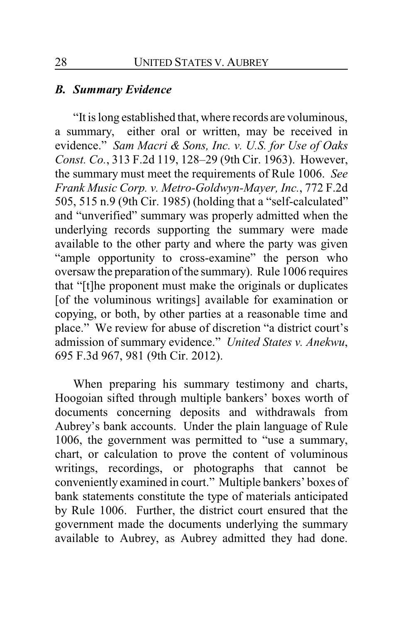#### *B. Summary Evidence*

"It is long established that, where records are voluminous, a summary, either oral or written, may be received in evidence." *Sam Macri & Sons, Inc. v. U.S. for Use of Oaks Const. Co.*, 313 F.2d 119, 128–29 (9th Cir. 1963). However, the summary must meet the requirements of Rule 1006. *See Frank Music Corp. v. Metro-Goldwyn-Mayer, Inc.*, 772 F.2d 505, 515 n.9 (9th Cir. 1985) (holding that a "self-calculated" and "unverified" summary was properly admitted when the underlying records supporting the summary were made available to the other party and where the party was given "ample opportunity to cross-examine" the person who oversaw the preparation of the summary). Rule 1006 requires that "[t]he proponent must make the originals or duplicates [of the voluminous writings] available for examination or copying, or both, by other parties at a reasonable time and place." We review for abuse of discretion "a district court's admission of summary evidence." *United States v. Anekwu*, 695 F.3d 967, 981 (9th Cir. 2012).

When preparing his summary testimony and charts, Hoogoian sifted through multiple bankers' boxes worth of documents concerning deposits and withdrawals from Aubrey's bank accounts. Under the plain language of Rule 1006, the government was permitted to "use a summary, chart, or calculation to prove the content of voluminous writings, recordings, or photographs that cannot be conveniently examined in court." Multiple bankers' boxes of bank statements constitute the type of materials anticipated by Rule 1006. Further, the district court ensured that the government made the documents underlying the summary available to Aubrey, as Aubrey admitted they had done.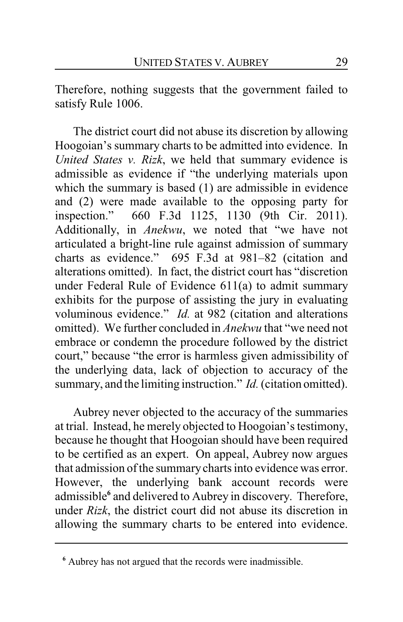Therefore, nothing suggests that the government failed to satisfy Rule 1006.

The district court did not abuse its discretion by allowing Hoogoian's summary charts to be admitted into evidence. In *United States v. Rizk*, we held that summary evidence is admissible as evidence if "the underlying materials upon which the summary is based (1) are admissible in evidence and (2) were made available to the opposing party for inspection." 660 F.3d 1125, 1130 (9th Cir. 2011). Additionally, in *Anekwu*, we noted that "we have not articulated a bright-line rule against admission of summary charts as evidence." 695 F.3d at 981–82 (citation and alterations omitted). In fact, the district court has "discretion under Federal Rule of Evidence 611(a) to admit summary exhibits for the purpose of assisting the jury in evaluating voluminous evidence." *Id.* at 982 (citation and alterations omitted). We further concluded in *Anekwu* that "we need not embrace or condemn the procedure followed by the district court," because "the error is harmless given admissibility of the underlying data, lack of objection to accuracy of the summary, and the limiting instruction." *Id.*(citation omitted).

Aubrey never objected to the accuracy of the summaries at trial. Instead, he merely objected to Hoogoian's testimony, because he thought that Hoogoian should have been required to be certified as an expert. On appeal, Aubrey now argues that admission of the summarycharts into evidence was error. However, the underlying bank account records were admissible**<sup>6</sup>** and delivered to Aubrey in discovery. Therefore, under *Rizk*, the district court did not abuse its discretion in allowing the summary charts to be entered into evidence.

**<sup>6</sup>** Aubrey has not argued that the records were inadmissible.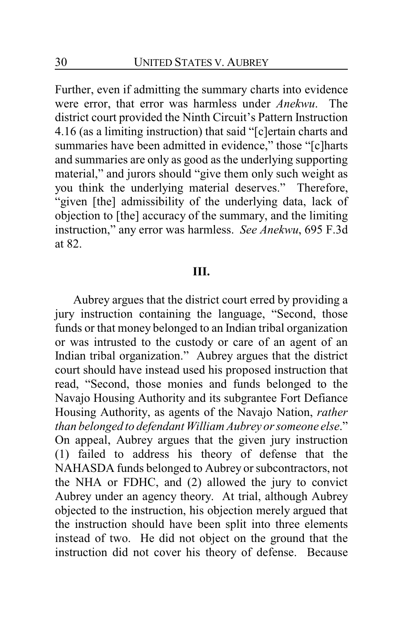Further, even if admitting the summary charts into evidence were error, that error was harmless under *Anekwu*. The district court provided the Ninth Circuit's Pattern Instruction 4.16 (as a limiting instruction) that said "[c]ertain charts and summaries have been admitted in evidence," those "[c]harts and summaries are only as good as the underlying supporting material," and jurors should "give them only such weight as you think the underlying material deserves." Therefore, "given [the] admissibility of the underlying data, lack of objection to [the] accuracy of the summary, and the limiting instruction," any error was harmless. *See Anekwu*, 695 F.3d at 82.

#### **III.**

Aubrey argues that the district court erred by providing a jury instruction containing the language, "Second, those funds or that money belonged to an Indian tribal organization or was intrusted to the custody or care of an agent of an Indian tribal organization." Aubrey argues that the district court should have instead used his proposed instruction that read, "Second, those monies and funds belonged to the Navajo Housing Authority and its subgrantee Fort Defiance Housing Authority, as agents of the Navajo Nation, *rather than belonged to defendant William Aubrey or someone else*." On appeal, Aubrey argues that the given jury instruction (1) failed to address his theory of defense that the NAHASDA funds belonged to Aubrey or subcontractors, not the NHA or FDHC, and (2) allowed the jury to convict Aubrey under an agency theory. At trial, although Aubrey objected to the instruction, his objection merely argued that the instruction should have been split into three elements instead of two. He did not object on the ground that the instruction did not cover his theory of defense. Because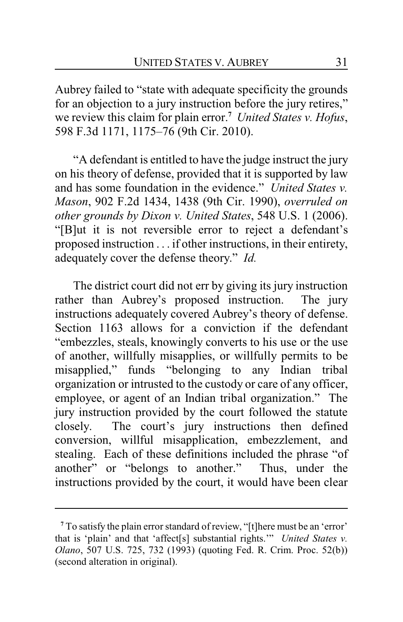Aubrey failed to "state with adequate specificity the grounds for an objection to a jury instruction before the jury retires," we review this claim for plain error.**<sup>7</sup>** *United States v. Hofus*, 598 F.3d 1171, 1175–76 (9th Cir. 2010).

"A defendant is entitled to have the judge instruct the jury on his theory of defense, provided that it is supported by law and has some foundation in the evidence." *United States v. Mason*, 902 F.2d 1434, 1438 (9th Cir. 1990), *overruled on other grounds by Dixon v. United States*, 548 U.S. 1 (2006). "[B]ut it is not reversible error to reject a defendant's proposed instruction . . . if other instructions, in their entirety, adequately cover the defense theory." *Id.*

The district court did not err by giving its jury instruction rather than Aubrey's proposed instruction. The jury instructions adequately covered Aubrey's theory of defense. Section 1163 allows for a conviction if the defendant "embezzles, steals, knowingly converts to his use or the use of another, willfully misapplies, or willfully permits to be misapplied," funds "belonging to any Indian tribal organization or intrusted to the custody or care of any officer, employee, or agent of an Indian tribal organization." The jury instruction provided by the court followed the statute closely. The court's jury instructions then defined conversion, willful misapplication, embezzlement, and stealing. Each of these definitions included the phrase "of another" or "belongs to another." Thus, under the instructions provided by the court, it would have been clear

**<sup>7</sup>** To satisfy the plain error standard of review, "[t]here must be an 'error' that is 'plain' and that 'affect[s] substantial rights.'" *United States v. Olano*, 507 U.S. 725, 732 (1993) (quoting Fed. R. Crim. Proc. 52(b)) (second alteration in original).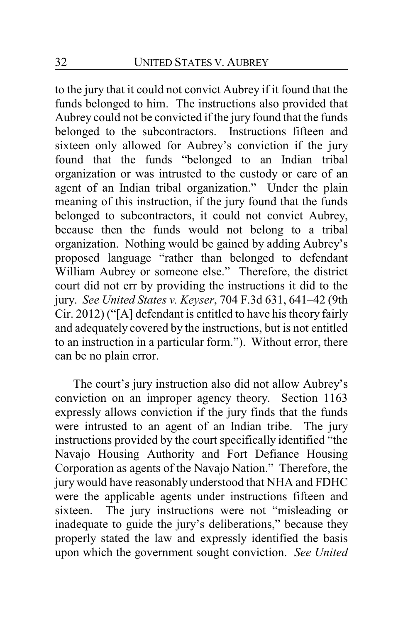to the jury that it could not convict Aubrey if it found that the funds belonged to him. The instructions also provided that Aubrey could not be convicted if the jury found that the funds belonged to the subcontractors. Instructions fifteen and sixteen only allowed for Aubrey's conviction if the jury found that the funds "belonged to an Indian tribal organization or was intrusted to the custody or care of an agent of an Indian tribal organization." Under the plain meaning of this instruction, if the jury found that the funds belonged to subcontractors, it could not convict Aubrey, because then the funds would not belong to a tribal organization. Nothing would be gained by adding Aubrey's proposed language "rather than belonged to defendant William Aubrey or someone else." Therefore, the district court did not err by providing the instructions it did to the jury. *See United States v. Keyser*, 704 F.3d 631, 641–42 (9th Cir. 2012) ("[A] defendant is entitled to have his theory fairly and adequately covered by the instructions, but is not entitled to an instruction in a particular form."). Without error, there can be no plain error.

The court's jury instruction also did not allow Aubrey's conviction on an improper agency theory. Section 1163 expressly allows conviction if the jury finds that the funds were intrusted to an agent of an Indian tribe. The jury instructions provided by the court specifically identified "the Navajo Housing Authority and Fort Defiance Housing Corporation as agents of the Navajo Nation." Therefore, the jury would have reasonably understood that NHA and FDHC were the applicable agents under instructions fifteen and sixteen. The jury instructions were not "misleading or inadequate to guide the jury's deliberations," because they properly stated the law and expressly identified the basis upon which the government sought conviction. *See United*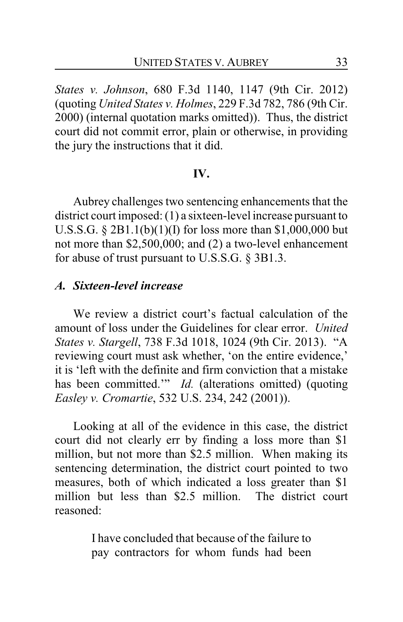*States v. Johnson*, 680 F.3d 1140, 1147 (9th Cir. 2012) (quoting *United States v. Holmes*, 229 F.3d 782, 786 (9th Cir. 2000) (internal quotation marks omitted)). Thus, the district court did not commit error, plain or otherwise, in providing the jury the instructions that it did.

#### **IV.**

Aubrey challenges two sentencing enhancements that the district court imposed: (1) a sixteen-level increase pursuant to U.S.S.G. § 2B1.1(b)(1)(I) for loss more than \$1,000,000 but not more than \$2,500,000; and (2) a two-level enhancement for abuse of trust pursuant to U.S.S.G. § 3B1.3.

#### *A. Sixteen-level increase*

We review a district court's factual calculation of the amount of loss under the Guidelines for clear error. *United States v. Stargell*, 738 F.3d 1018, 1024 (9th Cir. 2013). "A reviewing court must ask whether, 'on the entire evidence,' it is 'left with the definite and firm conviction that a mistake has been committed." *Id.* (alterations omitted) (quoting *Easley v. Cromartie*, 532 U.S. 234, 242 (2001)).

Looking at all of the evidence in this case, the district court did not clearly err by finding a loss more than \$1 million, but not more than \$2.5 million. When making its sentencing determination, the district court pointed to two measures, both of which indicated a loss greater than \$1 million but less than \$2.5 million. The district court reasoned:

> I have concluded that because of the failure to pay contractors for whom funds had been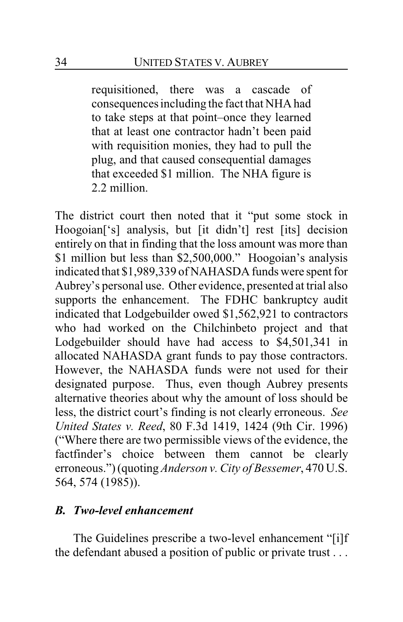requisitioned, there was a cascade of consequences including the fact that NHA had to take steps at that point–once they learned that at least one contractor hadn't been paid with requisition monies, they had to pull the plug, and that caused consequential damages that exceeded \$1 million. The NHA figure is 2.2 million.

The district court then noted that it "put some stock in Hoogoian['s] analysis, but [it didn't] rest [its] decision entirely on that in finding that the loss amount was more than \$1 million but less than \$2,500,000." Hoogoian's analysis indicated that \$1,989,339 of NAHASDA funds were spent for Aubrey's personal use. Other evidence, presented at trial also supports the enhancement. The FDHC bankruptcy audit indicated that Lodgebuilder owed \$1,562,921 to contractors who had worked on the Chilchinbeto project and that Lodgebuilder should have had access to \$4,501,341 in allocated NAHASDA grant funds to pay those contractors. However, the NAHASDA funds were not used for their designated purpose. Thus, even though Aubrey presents alternative theories about why the amount of loss should be less, the district court's finding is not clearly erroneous. *See United States v. Reed*, 80 F.3d 1419, 1424 (9th Cir. 1996) ("Where there are two permissible views of the evidence, the factfinder's choice between them cannot be clearly erroneous.") (quoting*Anderson v. City of Bessemer*, 470 U.S. 564, 574 (1985)).

## *B. Two-level enhancement*

The Guidelines prescribe a two-level enhancement "[i]f the defendant abused a position of public or private trust . . .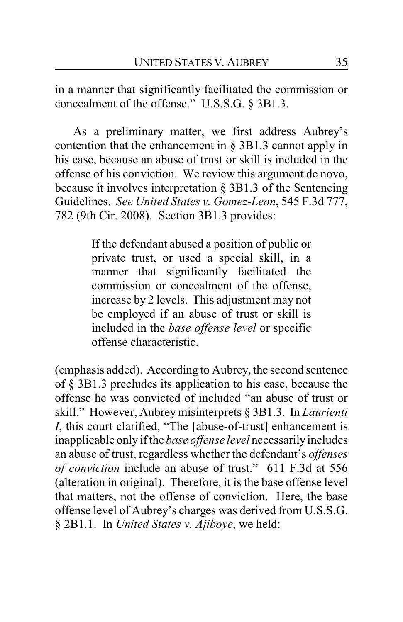in a manner that significantly facilitated the commission or concealment of the offense." U.S.S.G. § 3B1.3.

As a preliminary matter, we first address Aubrey's contention that the enhancement in § 3B1.3 cannot apply in his case, because an abuse of trust or skill is included in the offense of his conviction. We review this argument de novo, because it involves interpretation § 3B1.3 of the Sentencing Guidelines. *See United States v. Gomez-Leon*, 545 F.3d 777, 782 (9th Cir. 2008). Section 3B1.3 provides:

> If the defendant abused a position of public or private trust, or used a special skill, in a manner that significantly facilitated the commission or concealment of the offense, increase by 2 levels. This adjustment may not be employed if an abuse of trust or skill is included in the *base offense level* or specific offense characteristic.

(emphasis added). According to Aubrey, the second sentence of § 3B1.3 precludes its application to his case, because the offense he was convicted of included "an abuse of trust or skill." However, Aubrey misinterprets § 3B1.3. In *Laurienti I*, this court clarified, "The [abuse-of-trust] enhancement is inapplicable only if the *base offense level* necessarilyincludes an abuse of trust, regardless whether the defendant's *offenses of conviction* include an abuse of trust." 611 F.3d at 556 (alteration in original). Therefore, it is the base offense level that matters, not the offense of conviction. Here, the base offense level of Aubrey's charges was derived from U.S.S.G. § 2B1.1. In *United States v. Ajiboye*, we held: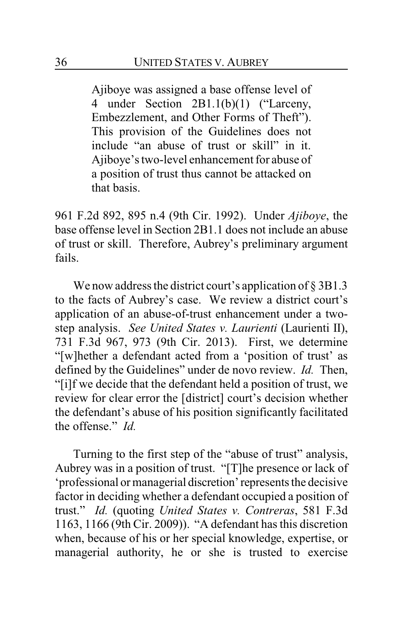Ajiboye was assigned a base offense level of 4 under Section 2B1.1(b)(1) ("Larceny, Embezzlement, and Other Forms of Theft"). This provision of the Guidelines does not include "an abuse of trust or skill" in it. Ajiboye's two-level enhancement for abuse of a position of trust thus cannot be attacked on that basis.

961 F.2d 892, 895 n.4 (9th Cir. 1992). Under *Ajiboye*, the base offense level in Section 2B1.1 does not include an abuse of trust or skill. Therefore, Aubrey's preliminary argument fails.

We now address the district court's application of § 3B1.3 to the facts of Aubrey's case. We review a district court's application of an abuse-of-trust enhancement under a twostep analysis. *See United States v. Laurienti* (Laurienti II), 731 F.3d 967, 973 (9th Cir. 2013). First, we determine "[w]hether a defendant acted from a 'position of trust' as defined by the Guidelines" under de novo review. *Id.* Then, "[i]f we decide that the defendant held a position of trust, we review for clear error the [district] court's decision whether the defendant's abuse of his position significantly facilitated the offense." *Id.*

Turning to the first step of the "abuse of trust" analysis, Aubrey was in a position of trust. "[T]he presence or lack of 'professional or managerial discretion'represents the decisive factor in deciding whether a defendant occupied a position of trust." *Id.* (quoting *United States v. Contreras*, 581 F.3d 1163, 1166 (9th Cir. 2009)). "A defendant has this discretion when, because of his or her special knowledge, expertise, or managerial authority, he or she is trusted to exercise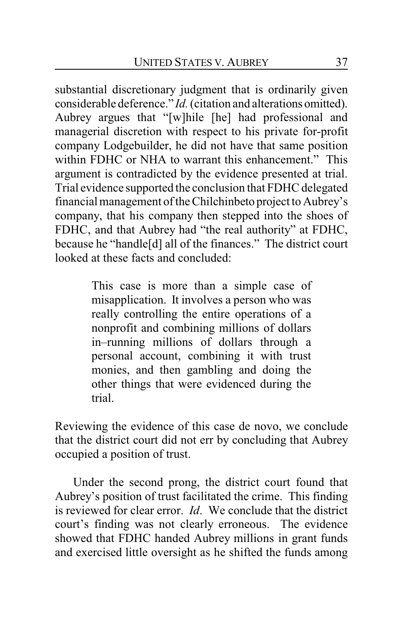substantial discretionary judgment that is ordinarily given considerable deference." *Id.*(citation and alterations omitted). Aubrey argues that "[w]hile [he] had professional and managerial discretion with respect to his private for-profit company Lodgebuilder, he did not have that same position within FDHC or NHA to warrant this enhancement." This argument is contradicted by the evidence presented at trial. Trial evidence supported the conclusion that FDHC delegated financial management of the Chilchinbeto project to Aubrey's company, that his company then stepped into the shoes of FDHC, and that Aubrey had "the real authority" at FDHC, because he "handle[d] all of the finances." The district court looked at these facts and concluded:

> This case is more than a simple case of misapplication. It involves a person who was really controlling the entire operations of a nonprofit and combining millions of dollars in–running millions of dollars through a personal account, combining it with trust monies, and then gambling and doing the other things that were evidenced during the trial.

Reviewing the evidence of this case de novo, we conclude that the district court did not err by concluding that Aubrey occupied a position of trust.

Under the second prong, the district court found that Aubrey's position of trust facilitated the crime. This finding is reviewed for clear error. *Id*. We conclude that the district court's finding was not clearly erroneous. The evidence showed that FDHC handed Aubrey millions in grant funds and exercised little oversight as he shifted the funds among